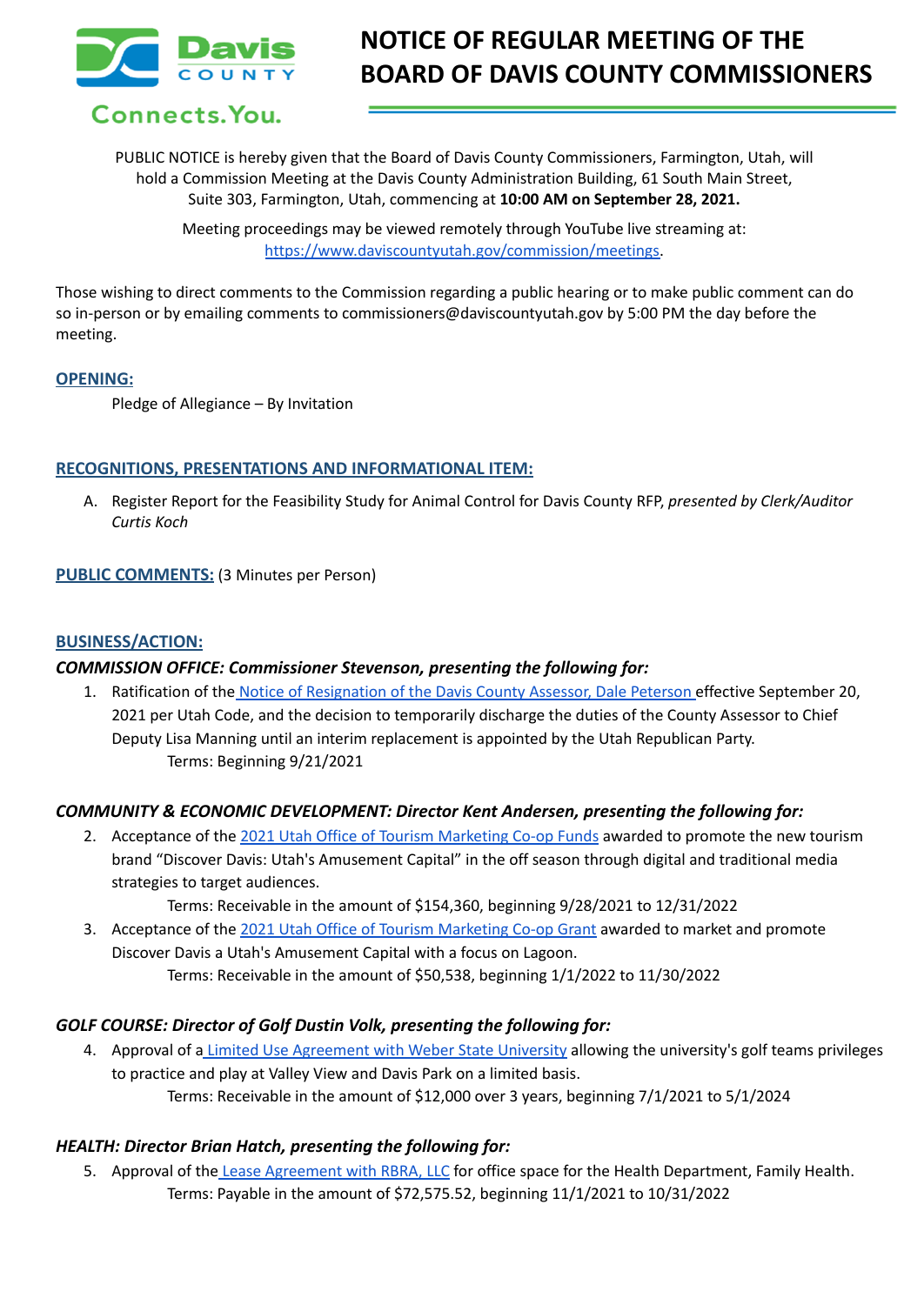

Connects. You.

# **NOTICE OF REGULAR MEETING OF THE BOARD OF DAVIS COUNTY COMMISSIONERS**

PUBLIC NOTICE is hereby given that the Board of Davis County Commissioners, Farmington, Utah, will hold a Commission Meeting at the Davis County Administration Building, 61 South Main Street, Suite 303, Farmington, Utah, commencing at **10:00 AM on September 28, 2021.**

> Meeting proceedings may be viewed remotely through YouTube live streaming at: [https://www.daviscountyutah.gov/commission/meetings.](https://www.daviscountyutah.gov/commission/meetings)

Those wishing to direct comments to the Commission regarding a public hearing or to make public comment can do so in-person or by emailing comments to commissioners@daviscountyutah.gov by 5:00 PM the day before the meeting.

## **OPENING:**

Pledge of Allegiance – By Invitation

## **RECOGNITIONS, PRESENTATIONS AND INFORMATIONAL ITEM:**

A. Register Report for the Feasibility Study for Animal Control for Davis County RFP, *presented by Clerk/Auditor Curtis Koch*

## **PUBLIC COMMENTS:** (3 Minutes per Person)

#### **BUSINESS/ACTION:**

# *COMMISSION OFFICE: Commissioner Stevenson, presenting the following for:*

1. Ratification of the Notice of [Resignation](https://drive.google.com/file/d/1Uue9jdivZ7_-BZ6RHAOMYczhCg18MuvJ/view?usp=sharing) of the Davis County Assessor, Dale Peterson effective September 20, 2021 per Utah Code, and the decision to temporarily discharge the duties of the County Assessor to Chief Deputy Lisa Manning until an interim replacement is appointed by the Utah Republican Party. Terms: Beginning 9/21/2021

# *COMMUNITY & ECONOMIC DEVELOPMENT: Director Kent Andersen, presenting the following for:*

2. Acceptance of the 2021 Utah Office of Tourism [Marketing](https://drive.google.com/file/d/1McHMyH654rpJyh8hlLScPwdvHBW7dAV9/view?usp=sharing) Co-op Funds awarded to promote the new tourism brand "Discover Davis: Utah's Amusement Capital" in the off season through digital and traditional media strategies to target audiences.

Terms: Receivable in the amount of \$154,360, beginning 9/28/2021 to 12/31/2022

3. Acceptance of the 2021 Utah Office of Tourism [Marketing](https://drive.google.com/file/d/1UWBbefxnoARcSinLXitPkbIx6F-QznWH/view?usp=sharing) Co-op Grant awarded to market and promote Discover Davis a Utah's Amusement Capital with a focus on Lagoon. Terms: Receivable in the amount of \$50,538, beginning 1/1/2022 to 11/30/2022

#### *GOLF COURSE: Director of Golf Dustin Volk, presenting the following for:*

4. Approval of a Limited Use [Agreement](https://drive.google.com/file/d/1XylZ-zTXf2LcBueFVPU-xtNYM6IugeXk/view?usp=sharing) with Weber State University allowing the university's golf teams privileges to practice and play at Valley View and Davis Park on a limited basis. Terms: Receivable in the amount of \$12,000 over 3 years, beginning 7/1/2021 to 5/1/2024

#### *HEALTH: Director Brian Hatch, presenting the following for:*

5. Approval of the Lease [Agreement](https://drive.google.com/file/d/1J6H8EubK_ptjkADHEI4131fK4jaJS6iH/view?usp=sharing) with RBRA, LLC for office space for the Health Department, Family Health. Terms: Payable in the amount of \$72,575.52, beginning 11/1/2021 to 10/31/2022